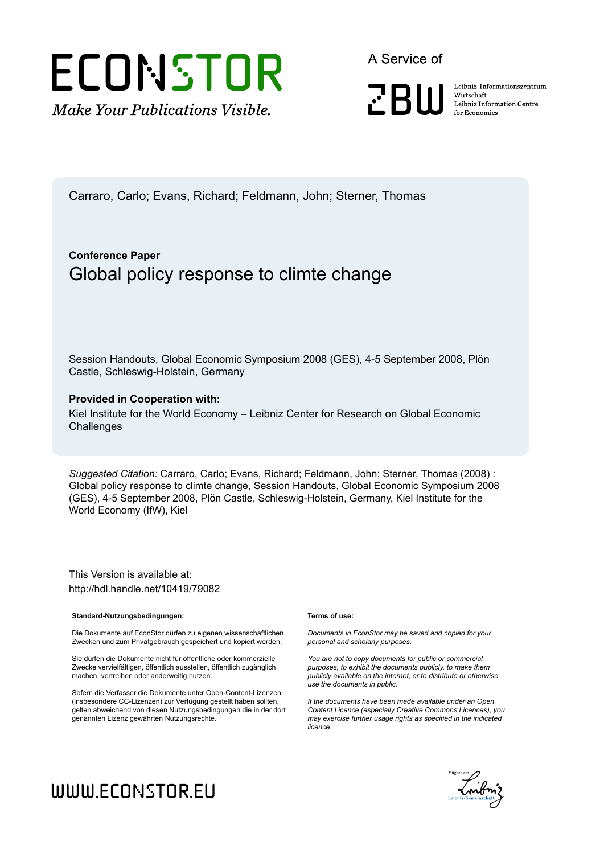

A Service of

**PRIII** 

Leibniz Informationszentrum Wirtschaft Leibniz Information Centre for Economics

Carraro, Carlo; Evans, Richard; Feldmann, John; Sterner, Thomas

## **Conference Paper** Global policy response to climte change

Session Handouts, Global Economic Symposium 2008 (GES), 4-5 September 2008, Plön Castle, Schleswig-Holstein, Germany

#### **Provided in Cooperation with:**

Kiel Institute for the World Economy – Leibniz Center for Research on Global Economic **Challenges** 

*Suggested Citation:* Carraro, Carlo; Evans, Richard; Feldmann, John; Sterner, Thomas (2008) : Global policy response to climte change, Session Handouts, Global Economic Symposium 2008 (GES), 4-5 September 2008, Plön Castle, Schleswig-Holstein, Germany, Kiel Institute for the World Economy (IfW), Kiel

This Version is available at: http://hdl.handle.net/10419/79082

#### **Standard-Nutzungsbedingungen:**

Die Dokumente auf EconStor dürfen zu eigenen wissenschaftlichen Zwecken und zum Privatgebrauch gespeichert und kopiert werden.

Sie dürfen die Dokumente nicht für öffentliche oder kommerzielle Zwecke vervielfältigen, öffentlich ausstellen, öffentlich zugänglich machen, vertreiben oder anderweitig nutzen.

Sofern die Verfasser die Dokumente unter Open-Content-Lizenzen (insbesondere CC-Lizenzen) zur Verfügung gestellt haben sollten, gelten abweichend von diesen Nutzungsbedingungen die in der dort genannten Lizenz gewährten Nutzungsrechte.

#### **Terms of use:**

*Documents in EconStor may be saved and copied for your personal and scholarly purposes.*

*You are not to copy documents for public or commercial purposes, to exhibit the documents publicly, to make them publicly available on the internet, or to distribute or otherwise use the documents in public.*

*If the documents have been made available under an Open Content Licence (especially Creative Commons Licences), you may exercise further usage rights as specified in the indicated licence.*



# WWW.ECONSTOR.EU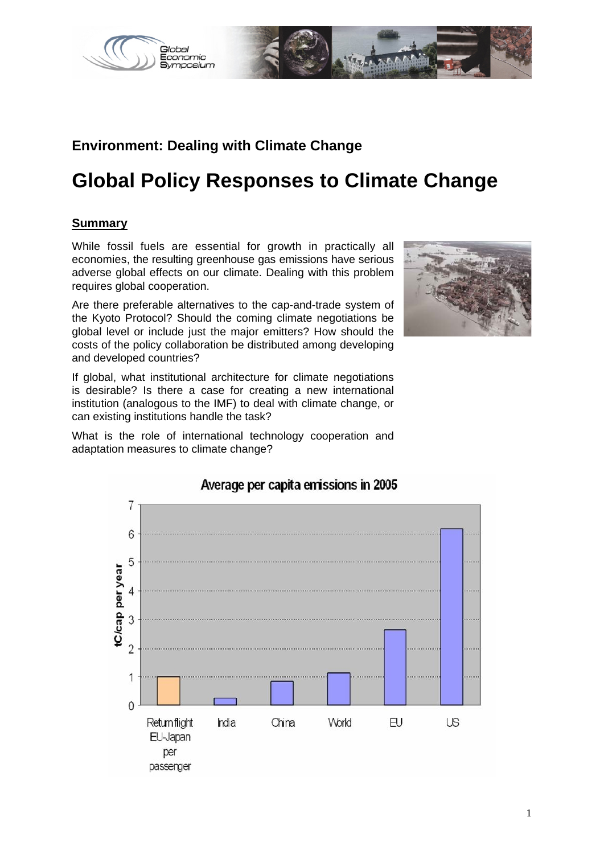

## **Environment: Dealing with Climate Change**

# **Global Policy Responses to Climate Change**

### **Summary**

While fossil fuels are essential for growth in practically all economies, the resulting greenhouse gas emissions have serious adverse global effects on our climate. Dealing with this problem requires global cooperation.

Are there preferable alternatives to the cap-and-trade system of the Kyoto Protocol? Should the coming climate negotiations be global level or include just the major emitters? How should the costs of the policy collaboration be distributed among developing and developed countries?

If global, what institutional architecture for climate negotiations is desirable? Is there a case for creating a new international institution (analogous to the IMF) to deal with climate change, or can existing institutions handle the task?

What is the role of international technology cooperation and adaptation measures to climate change?





## Average per capita emissions in 2005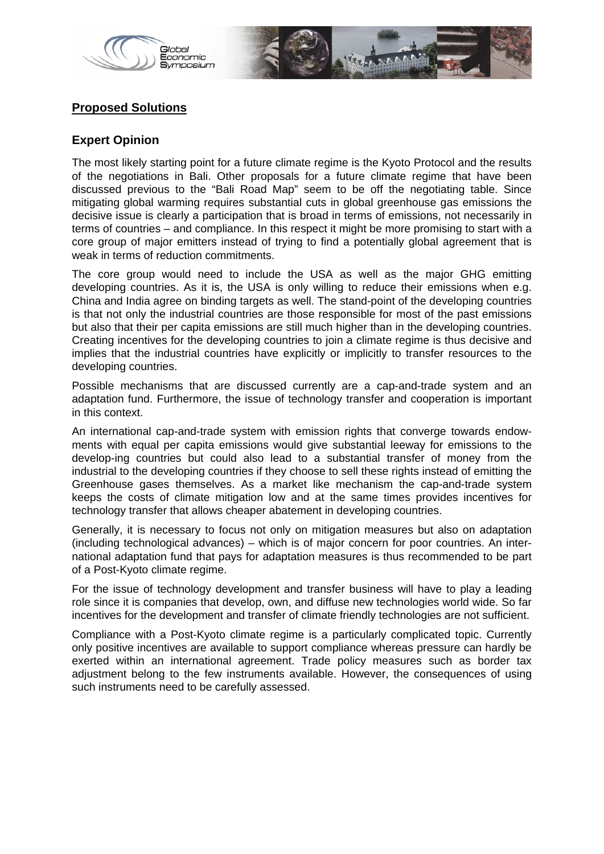

### **Proposed Solutions**

#### **Expert Opinion**

The most likely starting point for a future climate regime is the Kyoto Protocol and the results of the negotiations in Bali. Other proposals for a future climate regime that have been discussed previous to the "Bali Road Map" seem to be off the negotiating table. Since mitigating global warming requires substantial cuts in global greenhouse gas emissions the decisive issue is clearly a participation that is broad in terms of emissions, not necessarily in terms of countries – and compliance. In this respect it might be more promising to start with a core group of major emitters instead of trying to find a potentially global agreement that is weak in terms of reduction commitments.

The core group would need to include the USA as well as the major GHG emitting developing countries. As it is, the USA is only willing to reduce their emissions when e.g. China and India agree on binding targets as well. The stand-point of the developing countries is that not only the industrial countries are those responsible for most of the past emissions but also that their per capita emissions are still much higher than in the developing countries. Creating incentives for the developing countries to join a climate regime is thus decisive and implies that the industrial countries have explicitly or implicitly to transfer resources to the developing countries.

Possible mechanisms that are discussed currently are a cap-and-trade system and an adaptation fund. Furthermore, the issue of technology transfer and cooperation is important in this context.

An international cap-and-trade system with emission rights that converge towards endowments with equal per capita emissions would give substantial leeway for emissions to the develop-ing countries but could also lead to a substantial transfer of money from the industrial to the developing countries if they choose to sell these rights instead of emitting the Greenhouse gases themselves. As a market like mechanism the cap-and-trade system keeps the costs of climate mitigation low and at the same times provides incentives for technology transfer that allows cheaper abatement in developing countries.

Generally, it is necessary to focus not only on mitigation measures but also on adaptation (including technological advances) – which is of major concern for poor countries. An international adaptation fund that pays for adaptation measures is thus recommended to be part of a Post-Kyoto climate regime.

For the issue of technology development and transfer business will have to play a leading role since it is companies that develop, own, and diffuse new technologies world wide. So far incentives for the development and transfer of climate friendly technologies are not sufficient.

Compliance with a Post-Kyoto climate regime is a particularly complicated topic. Currently only positive incentives are available to support compliance whereas pressure can hardly be exerted within an international agreement. Trade policy measures such as border tax adjustment belong to the few instruments available. However, the consequences of using such instruments need to be carefully assessed.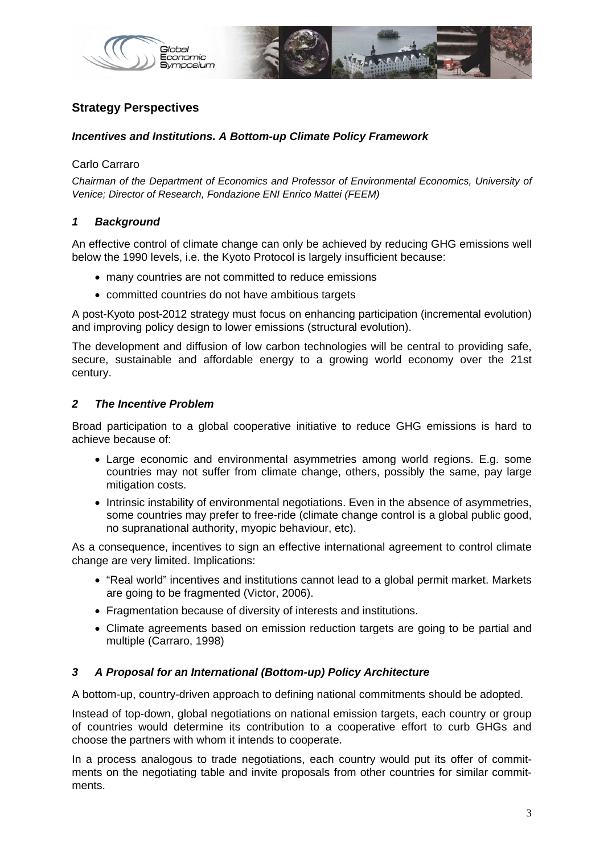

## **Strategy Perspectives**

#### *Incentives and Institutions. A Bottom-up Climate Policy Framework*

#### Carlo Carraro

*Chairman of the Department of Economics and Professor of Environmental Economics, University of Venice; Director of Research, Fondazione ENI Enrico Mattei (FEEM)* 

#### *1 Background*

An effective control of climate change can only be achieved by reducing GHG emissions well below the 1990 levels, i.e. the Kyoto Protocol is largely insufficient because:

- many countries are not committed to reduce emissions
- committed countries do not have ambitious targets

A post-Kyoto post-2012 strategy must focus on enhancing participation (incremental evolution) and improving policy design to lower emissions (structural evolution).

The development and diffusion of low carbon technologies will be central to providing safe, secure, sustainable and affordable energy to a growing world economy over the 21st century.

#### *2 The Incentive Problem*

Broad participation to a global cooperative initiative to reduce GHG emissions is hard to achieve because of:

- Large economic and environmental asymmetries among world regions. E.g. some countries may not suffer from climate change, others, possibly the same, pay large mitigation costs.
- Intrinsic instability of environmental negotiations. Even in the absence of asymmetries, some countries may prefer to free-ride (climate change control is a global public good, no supranational authority, myopic behaviour, etc).

As a consequence, incentives to sign an effective international agreement to control climate change are very limited. Implications:

- "Real world" incentives and institutions cannot lead to a global permit market. Markets are going to be fragmented (Victor, 2006).
- Fragmentation because of diversity of interests and institutions.
- Climate agreements based on emission reduction targets are going to be partial and multiple (Carraro, 1998)

#### *3 A Proposal for an International (Bottom-up) Policy Architecture*

A bottom-up, country-driven approach to defining national commitments should be adopted.

Instead of top-down, global negotiations on national emission targets, each country or group of countries would determine its contribution to a cooperative effort to curb GHGs and choose the partners with whom it intends to cooperate.

In a process analogous to trade negotiations, each country would put its offer of commitments on the negotiating table and invite proposals from other countries for similar commitments.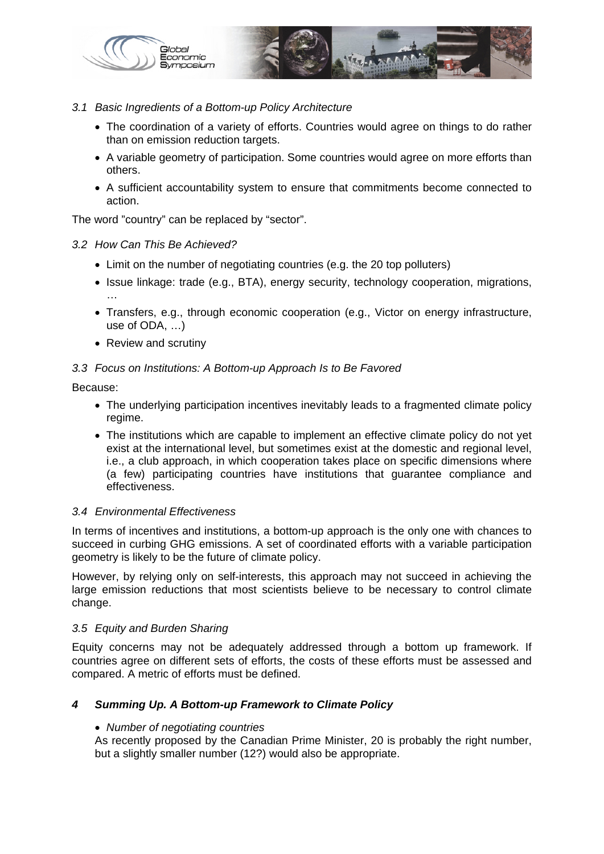

#### *3.1 Basic Ingredients of a Bottom-up Policy Architecture*

- The coordination of a variety of efforts. Countries would agree on things to do rather than on emission reduction targets.
- A variable geometry of participation. Some countries would agree on more efforts than others.
- A sufficient accountability system to ensure that commitments become connected to action.

The word "country" can be replaced by "sector".

#### *3.2 How Can This Be Achieved?*

- Limit on the number of negotiating countries (e.g. the 20 top polluters)
- Issue linkage: trade (e.g., BTA), energy security, technology cooperation, migrations, …
- Transfers, e.g., through economic cooperation (e.g., Victor on energy infrastructure, use of ODA, …)
- Review and scrutiny

#### *3.3 Focus on Institutions: A Bottom-up Approach Is to Be Favored*

Because:

- The underlying participation incentives inevitably leads to a fragmented climate policy regime.
- The institutions which are capable to implement an effective climate policy do not yet exist at the international level, but sometimes exist at the domestic and regional level, i.e., a club approach, in which cooperation takes place on specific dimensions where (a few) participating countries have institutions that guarantee compliance and effectiveness.

#### *3.4 Environmental Effectiveness*

In terms of incentives and institutions, a bottom-up approach is the only one with chances to succeed in curbing GHG emissions. A set of coordinated efforts with a variable participation geometry is likely to be the future of climate policy.

However, by relying only on self-interests, this approach may not succeed in achieving the large emission reductions that most scientists believe to be necessary to control climate change.

#### *3.5 Equity and Burden Sharing*

Equity concerns may not be adequately addressed through a bottom up framework. If countries agree on different sets of efforts, the costs of these efforts must be assessed and compared. A metric of efforts must be defined.

#### *4 Summing Up. A Bottom-up Framework to Climate Policy*

#### • *Number of negotiating countries*

As recently proposed by the Canadian Prime Minister, 20 is probably the right number, but a slightly smaller number (12?) would also be appropriate.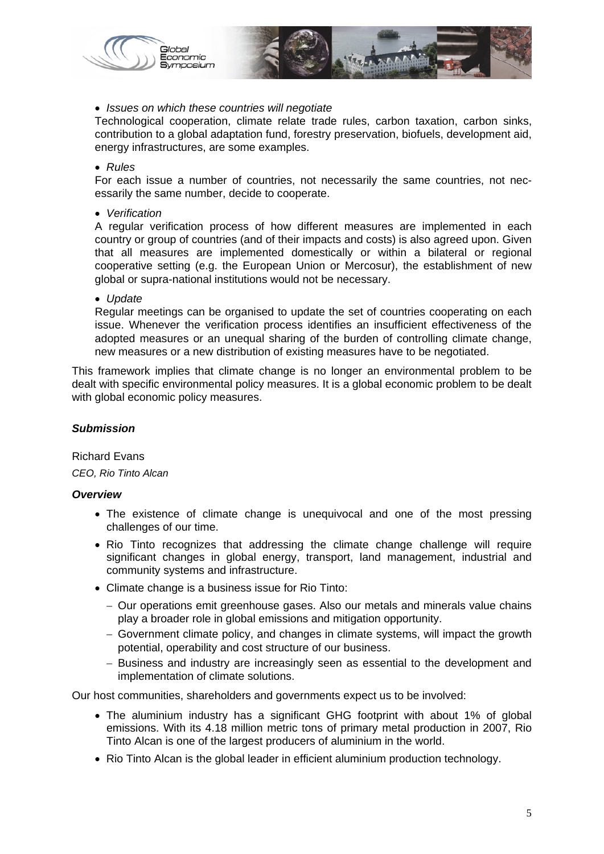

#### • *Issues on which these countries will negotiate*

Technological cooperation, climate relate trade rules, carbon taxation, carbon sinks, contribution to a global adaptation fund, forestry preservation, biofuels, development aid, energy infrastructures, are some examples.

#### • *Rules*

For each issue a number of countries, not necessarily the same countries, not necessarily the same number, decide to cooperate.

• *Verification* 

A regular verification process of how different measures are implemented in each country or group of countries (and of their impacts and costs) is also agreed upon. Given that all measures are implemented domestically or within a bilateral or regional cooperative setting (e.g. the European Union or Mercosur), the establishment of new global or supra-national institutions would not be necessary.

• *Update* 

Regular meetings can be organised to update the set of countries cooperating on each issue. Whenever the verification process identifies an insufficient effectiveness of the adopted measures or an unequal sharing of the burden of controlling climate change, new measures or a new distribution of existing measures have to be negotiated.

This framework implies that climate change is no longer an environmental problem to be dealt with specific environmental policy measures. It is a global economic problem to be dealt with global economic policy measures.

#### *Submission*

Richard Evans *CEO, Rio Tinto Alcan* 

#### *Overview*

- The existence of climate change is unequivocal and one of the most pressing challenges of our time.
- Rio Tinto recognizes that addressing the climate change challenge will require significant changes in global energy, transport, land management, industrial and community systems and infrastructure.
- Climate change is a business issue for Rio Tinto:
	- − Our operations emit greenhouse gases. Also our metals and minerals value chains play a broader role in global emissions and mitigation opportunity.
	- − Government climate policy, and changes in climate systems, will impact the growth potential, operability and cost structure of our business.
	- − Business and industry are increasingly seen as essential to the development and implementation of climate solutions.

Our host communities, shareholders and governments expect us to be involved:

- The aluminium industry has a significant GHG footprint with about 1% of global emissions. With its 4.18 million metric tons of primary metal production in 2007, Rio Tinto Alcan is one of the largest producers of aluminium in the world.
- Rio Tinto Alcan is the global leader in efficient aluminium production technology.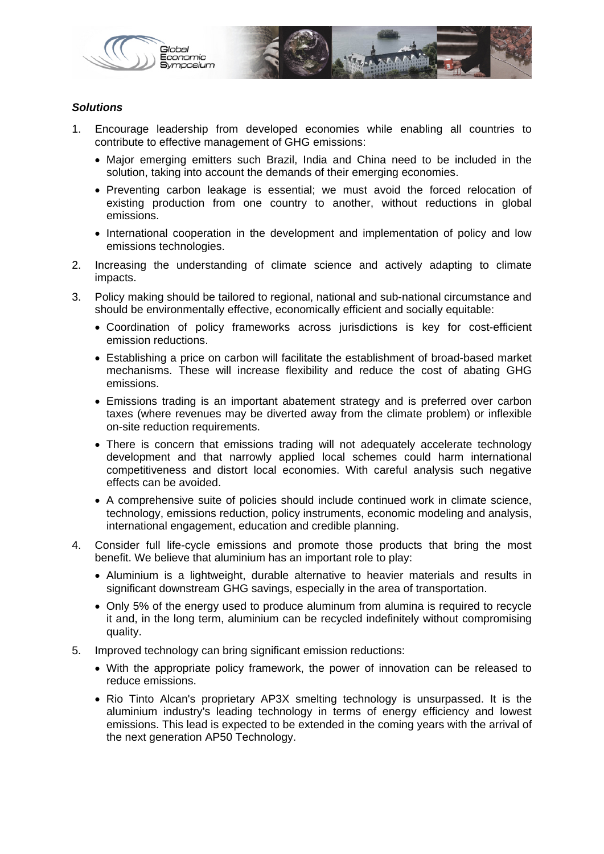

#### *Solutions*

- 1. Encourage leadership from developed economies while enabling all countries to contribute to effective management of GHG emissions:
	- Major emerging emitters such Brazil, India and China need to be included in the solution, taking into account the demands of their emerging economies.
	- Preventing carbon leakage is essential; we must avoid the forced relocation of existing production from one country to another, without reductions in global emissions.
	- International cooperation in the development and implementation of policy and low emissions technologies.
- 2. Increasing the understanding of climate science and actively adapting to climate impacts.
- 3. Policy making should be tailored to regional, national and sub-national circumstance and should be environmentally effective, economically efficient and socially equitable:
	- Coordination of policy frameworks across jurisdictions is key for cost-efficient emission reductions.
	- Establishing a price on carbon will facilitate the establishment of broad-based market mechanisms. These will increase flexibility and reduce the cost of abating GHG emissions.
	- Emissions trading is an important abatement strategy and is preferred over carbon taxes (where revenues may be diverted away from the climate problem) or inflexible on-site reduction requirements.
	- There is concern that emissions trading will not adequately accelerate technology development and that narrowly applied local schemes could harm international competitiveness and distort local economies. With careful analysis such negative effects can be avoided.
	- A comprehensive suite of policies should include continued work in climate science, technology, emissions reduction, policy instruments, economic modeling and analysis, international engagement, education and credible planning.
- 4. Consider full life-cycle emissions and promote those products that bring the most benefit. We believe that aluminium has an important role to play:
	- Aluminium is a lightweight, durable alternative to heavier materials and results in significant downstream GHG savings, especially in the area of transportation.
	- Only 5% of the energy used to produce aluminum from alumina is required to recycle it and, in the long term, aluminium can be recycled indefinitely without compromising quality.
- 5. Improved technology can bring significant emission reductions:
	- With the appropriate policy framework, the power of innovation can be released to reduce emissions.
	- Rio Tinto Alcan's proprietary AP3X smelting technology is unsurpassed. It is the aluminium industry's leading technology in terms of energy efficiency and lowest emissions. This lead is expected to be extended in the coming years with the arrival of the next generation AP50 Technology.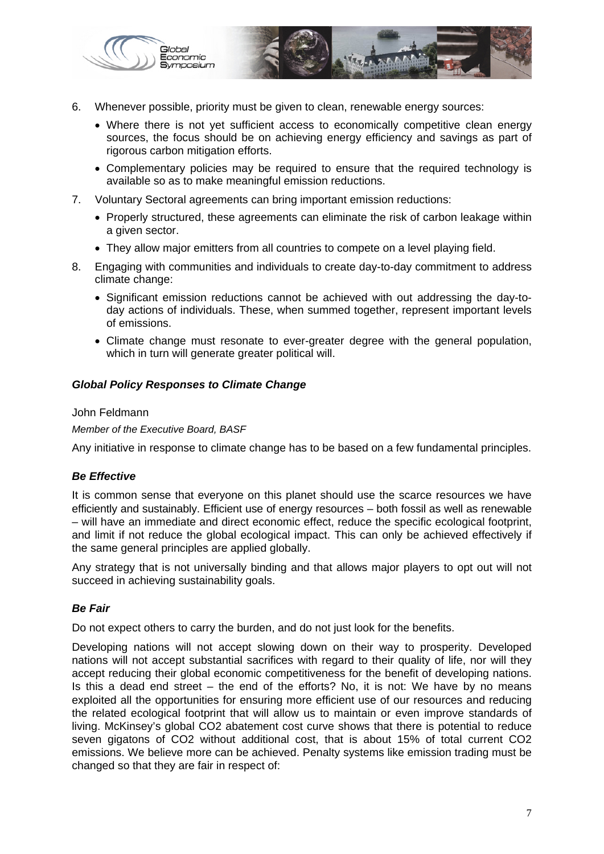

- 6. Whenever possible, priority must be given to clean, renewable energy sources:
	- Where there is not yet sufficient access to economically competitive clean energy sources, the focus should be on achieving energy efficiency and savings as part of rigorous carbon mitigation efforts.
	- Complementary policies may be required to ensure that the required technology is available so as to make meaningful emission reductions.
- 7. Voluntary Sectoral agreements can bring important emission reductions:
	- Properly structured, these agreements can eliminate the risk of carbon leakage within a given sector.
	- They allow major emitters from all countries to compete on a level playing field.
- 8. Engaging with communities and individuals to create day-to-day commitment to address climate change:
	- Significant emission reductions cannot be achieved with out addressing the day-today actions of individuals. These, when summed together, represent important levels of emissions.
	- Climate change must resonate to ever-greater degree with the general population, which in turn will generate greater political will.

#### *Global Policy Responses to Climate Change*

#### John Feldmann

*Member of the Executive Board, BASF* 

Any initiative in response to climate change has to be based on a few fundamental principles.

#### *Be Effective*

It is common sense that everyone on this planet should use the scarce resources we have efficiently and sustainably. Efficient use of energy resources – both fossil as well as renewable – will have an immediate and direct economic effect, reduce the specific ecological footprint, and limit if not reduce the global ecological impact. This can only be achieved effectively if the same general principles are applied globally.

Any strategy that is not universally binding and that allows major players to opt out will not succeed in achieving sustainability goals.

#### *Be Fair*

Do not expect others to carry the burden, and do not just look for the benefits.

Developing nations will not accept slowing down on their way to prosperity. Developed nations will not accept substantial sacrifices with regard to their quality of life, nor will they accept reducing their global economic competitiveness for the benefit of developing nations. Is this a dead end street – the end of the efforts? No, it is not: We have by no means exploited all the opportunities for ensuring more efficient use of our resources and reducing the related ecological footprint that will allow us to maintain or even improve standards of living. McKinsey's global CO2 abatement cost curve shows that there is potential to reduce seven gigatons of CO2 without additional cost, that is about 15% of total current CO2 emissions. We believe more can be achieved. Penalty systems like emission trading must be changed so that they are fair in respect of: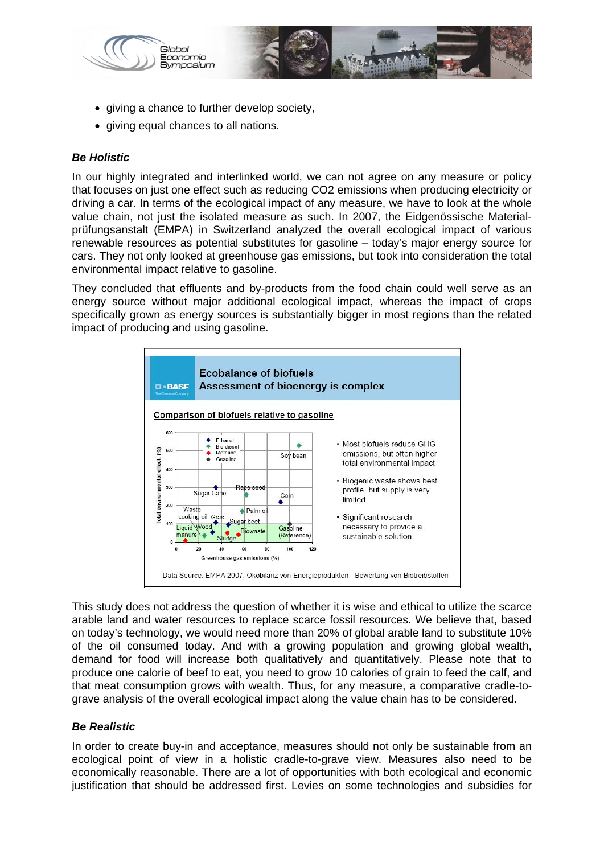

- giving a chance to further develop society,
- giving equal chances to all nations.

#### *Be Holistic*

In our highly integrated and interlinked world, we can not agree on any measure or policy that focuses on just one effect such as reducing CO2 emissions when producing electricity or driving a car. In terms of the ecological impact of any measure, we have to look at the whole value chain, not just the isolated measure as such. In 2007, the Eidgenössische Materialprüfungsanstalt (EMPA) in Switzerland analyzed the overall ecological impact of various renewable resources as potential substitutes for gasoline – today's major energy source for cars. They not only looked at greenhouse gas emissions, but took into consideration the total environmental impact relative to gasoline.

They concluded that effluents and by-products from the food chain could well serve as an energy source without major additional ecological impact, whereas the impact of crops specifically grown as energy sources is substantially bigger in most regions than the related impact of producing and using gasoline.



This study does not address the question of whether it is wise and ethical to utilize the scarce arable land and water resources to replace scarce fossil resources. We believe that, based on today's technology, we would need more than 20% of global arable land to substitute 10% of the oil consumed today. And with a growing population and growing global wealth, demand for food will increase both qualitatively and quantitatively. Please note that to produce one calorie of beef to eat, you need to grow 10 calories of grain to feed the calf, and that meat consumption grows with wealth. Thus, for any measure, a comparative cradle-tograve analysis of the overall ecological impact along the value chain has to be considered.

#### *Be Realistic*

In order to create buy-in and acceptance, measures should not only be sustainable from an ecological point of view in a holistic cradle-to-grave view. Measures also need to be economically reasonable. There are a lot of opportunities with both ecological and economic justification that should be addressed first. Levies on some technologies and subsidies for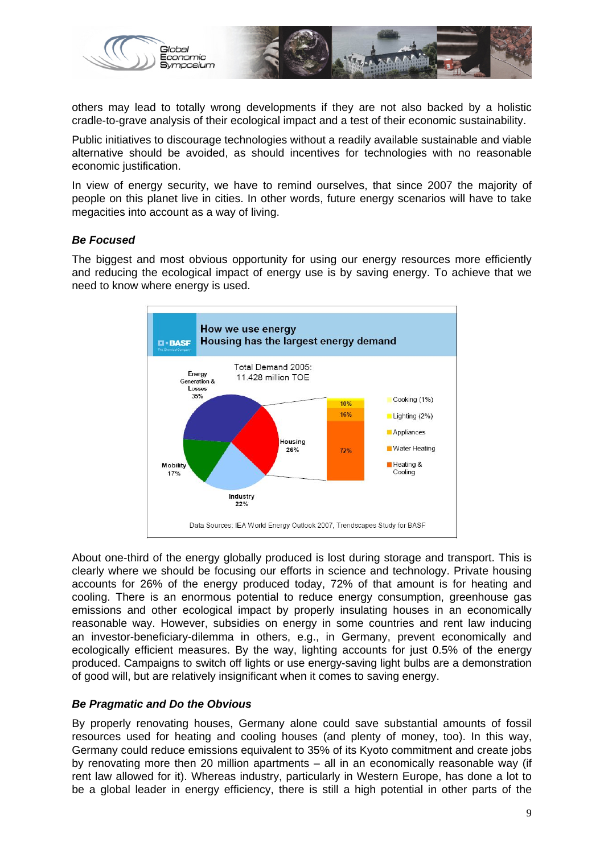

others may lead to totally wrong developments if they are not also backed by a holistic cradle-to-grave analysis of their ecological impact and a test of their economic sustainability.

Public initiatives to discourage technologies without a readily available sustainable and viable alternative should be avoided, as should incentives for technologies with no reasonable economic justification.

In view of energy security, we have to remind ourselves, that since 2007 the majority of people on this planet live in cities. In other words, future energy scenarios will have to take megacities into account as a way of living.

#### *Be Focused*

The biggest and most obvious opportunity for using our energy resources more efficiently and reducing the ecological impact of energy use is by saving energy. To achieve that we need to know where energy is used.



About one-third of the energy globally produced is lost during storage and transport. This is clearly where we should be focusing our efforts in science and technology. Private housing accounts for 26% of the energy produced today, 72% of that amount is for heating and cooling. There is an enormous potential to reduce energy consumption, greenhouse gas emissions and other ecological impact by properly insulating houses in an economically reasonable way. However, subsidies on energy in some countries and rent law inducing an investor-beneficiary-dilemma in others, e.g., in Germany, prevent economically and ecologically efficient measures. By the way, lighting accounts for just 0.5% of the energy produced. Campaigns to switch off lights or use energy-saving light bulbs are a demonstration of good will, but are relatively insignificant when it comes to saving energy.

#### *Be Pragmatic and Do the Obvious*

By properly renovating houses, Germany alone could save substantial amounts of fossil resources used for heating and cooling houses (and plenty of money, too). In this way, Germany could reduce emissions equivalent to 35% of its Kyoto commitment and create jobs by renovating more then 20 million apartments – all in an economically reasonable way (if rent law allowed for it). Whereas industry, particularly in Western Europe, has done a lot to be a global leader in energy efficiency, there is still a high potential in other parts of the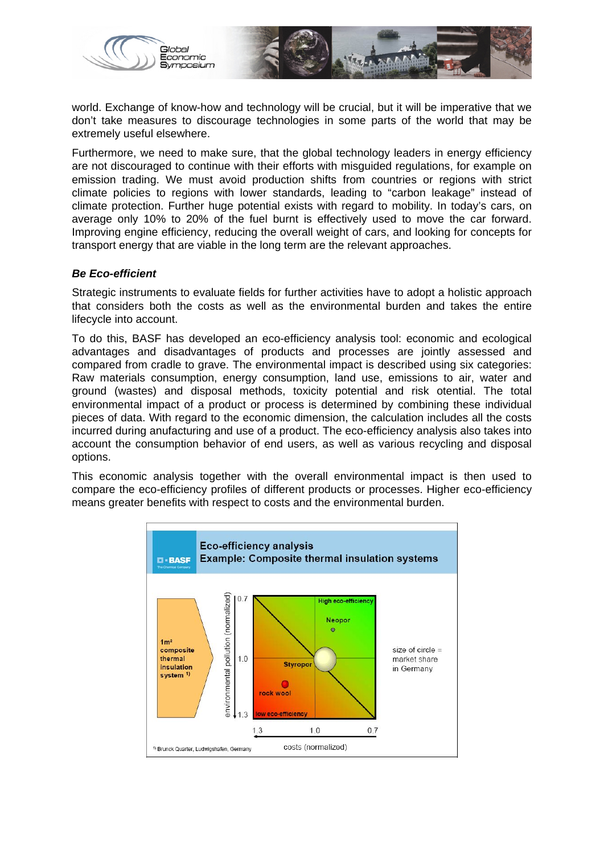

world. Exchange of know-how and technology will be crucial, but it will be imperative that we don't take measures to discourage technologies in some parts of the world that may be extremely useful elsewhere.

Furthermore, we need to make sure, that the global technology leaders in energy efficiency are not discouraged to continue with their efforts with misguided regulations, for example on emission trading. We must avoid production shifts from countries or regions with strict climate policies to regions with lower standards, leading to "carbon leakage" instead of climate protection. Further huge potential exists with regard to mobility. In today's cars, on average only 10% to 20% of the fuel burnt is effectively used to move the car forward. Improving engine efficiency, reducing the overall weight of cars, and looking for concepts for transport energy that are viable in the long term are the relevant approaches.

#### *Be Eco-efficient*

Strategic instruments to evaluate fields for further activities have to adopt a holistic approach that considers both the costs as well as the environmental burden and takes the entire lifecycle into account.

To do this, BASF has developed an eco-efficiency analysis tool: economic and ecological advantages and disadvantages of products and processes are jointly assessed and compared from cradle to grave. The environmental impact is described using six categories: Raw materials consumption, energy consumption, land use, emissions to air, water and ground (wastes) and disposal methods, toxicity potential and risk otential. The total environmental impact of a product or process is determined by combining these individual pieces of data. With regard to the economic dimension, the calculation includes all the costs incurred during anufacturing and use of a product. The eco-efficiency analysis also takes into account the consumption behavior of end users, as well as various recycling and disposal options.

This economic analysis together with the overall environmental impact is then used to compare the eco-efficiency profiles of different products or processes. Higher eco-efficiency means greater benefits with respect to costs and the environmental burden.

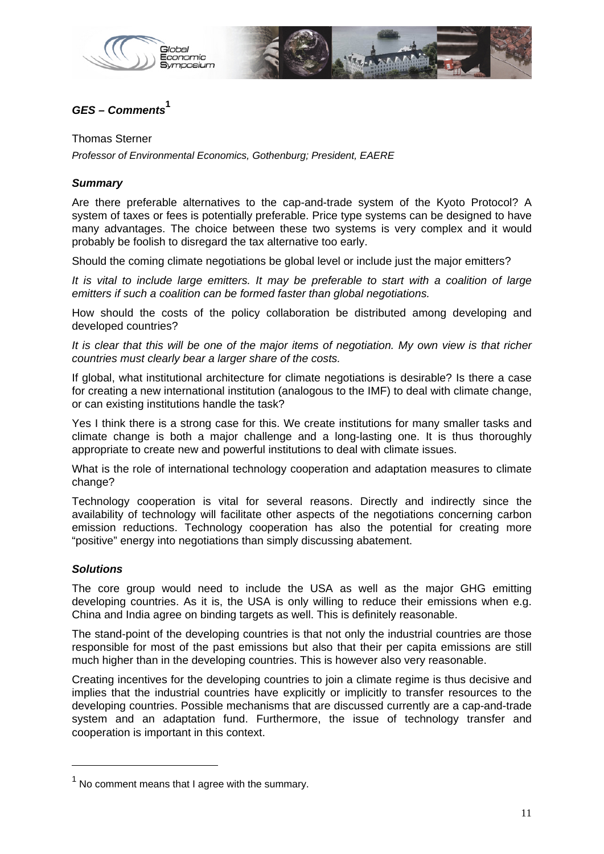

## *GES – Comments***<sup>1</sup>**

Thomas Sterner

*Professor of Environmental Economics, Gothenburg; President, EAERE* 

#### *Summary*

Are there preferable alternatives to the cap-and-trade system of the Kyoto Protocol? A system of taxes or fees is potentially preferable. Price type systems can be designed to have many advantages. The choice between these two systems is very complex and it would probably be foolish to disregard the tax alternative too early.

Should the coming climate negotiations be global level or include just the major emitters?

*It is vital to include large emitters. It may be preferable to start with a coalition of large emitters if such a coalition can be formed faster than global negotiations.* 

How should the costs of the policy collaboration be distributed among developing and developed countries?

It is clear that this will be one of the major items of negotiation. My own view is that richer *countries must clearly bear a larger share of the costs.* 

If global, what institutional architecture for climate negotiations is desirable? Is there a case for creating a new international institution (analogous to the IMF) to deal with climate change, or can existing institutions handle the task?

Yes I think there is a strong case for this. We create institutions for many smaller tasks and climate change is both a major challenge and a long-lasting one. It is thus thoroughly appropriate to create new and powerful institutions to deal with climate issues.

What is the role of international technology cooperation and adaptation measures to climate change?

Technology cooperation is vital for several reasons. Directly and indirectly since the availability of technology will facilitate other aspects of the negotiations concerning carbon emission reductions. Technology cooperation has also the potential for creating more "positive" energy into negotiations than simply discussing abatement.

#### *Solutions*

-

The core group would need to include the USA as well as the major GHG emitting developing countries. As it is, the USA is only willing to reduce their emissions when e.g. China and India agree on binding targets as well. This is definitely reasonable.

The stand-point of the developing countries is that not only the industrial countries are those responsible for most of the past emissions but also that their per capita emissions are still much higher than in the developing countries. This is however also very reasonable.

Creating incentives for the developing countries to join a climate regime is thus decisive and implies that the industrial countries have explicitly or implicitly to transfer resources to the developing countries. Possible mechanisms that are discussed currently are a cap-and-trade system and an adaptation fund. Furthermore, the issue of technology transfer and cooperation is important in this context.

 $<sup>1</sup>$  No comment means that I agree with the summary.</sup>